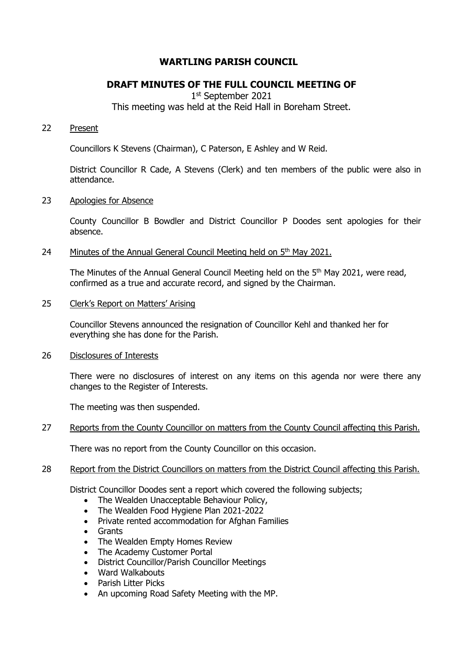# **WARTLING PARISH COUNCIL**

# **DRAFT MINUTES OF THE FULL COUNCIL MEETING OF**

1 st September 2021

This meeting was held at the Reid Hall in Boreham Street.

#### 22 Present

Councillors K Stevens (Chairman), C Paterson, E Ashley and W Reid.

District Councillor R Cade, A Stevens (Clerk) and ten members of the public were also in attendance.

# 23 Apologies for Absence

County Councillor B Bowdler and District Councillor P Doodes sent apologies for their absence.

## 24 Minutes of the Annual General Council Meeting held on 5<sup>th</sup> May 2021.

The Minutes of the Annual General Council Meeting held on the 5<sup>th</sup> May 2021, were read, confirmed as a true and accurate record, and signed by the Chairman.

## 25 Clerk's Report on Matters' Arising

Councillor Stevens announced the resignation of Councillor Kehl and thanked her for everything she has done for the Parish.

## 26 Disclosures of Interests

There were no disclosures of interest on any items on this agenda nor were there any changes to the Register of Interests.

The meeting was then suspended.

## 27 Reports from the County Councillor on matters from the County Council affecting this Parish.

There was no report from the County Councillor on this occasion.

## 28 Report from the District Councillors on matters from the District Council affecting this Parish.

District Councillor Doodes sent a report which covered the following subjects;

- The Wealden Unacceptable Behaviour Policy,
- The Wealden Food Hygiene Plan 2021-2022
- Private rented accommodation for Afghan Families
- Grants
- The Wealden Empty Homes Review
- The Academy Customer Portal
- District Councillor/Parish Councillor Meetings
- Ward Walkabouts
- Parish Litter Picks
- An upcoming Road Safety Meeting with the MP.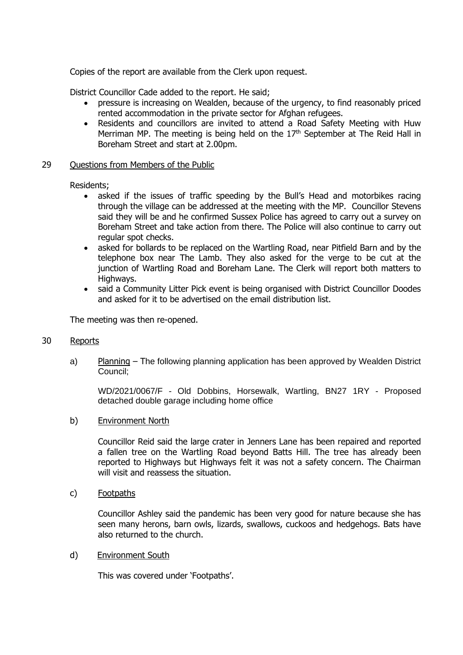Copies of the report are available from the Clerk upon request.

District Councillor Cade added to the report. He said;

- pressure is increasing on Wealden, because of the urgency, to find reasonably priced rented accommodation in the private sector for Afghan refugees.
- Residents and councillors are invited to attend a Road Safety Meeting with Huw Merriman MP. The meeting is being held on the  $17<sup>th</sup>$  September at The Reid Hall in Boreham Street and start at 2.00pm.

## 29 **Questions from Members of the Public**

Residents;

- asked if the issues of traffic speeding by the Bull's Head and motorbikes racing through the village can be addressed at the meeting with the MP. Councillor Stevens said they will be and he confirmed Sussex Police has agreed to carry out a survey on Boreham Street and take action from there. The Police will also continue to carry out regular spot checks.
- asked for bollards to be replaced on the Wartling Road, near Pitfield Barn and by the telephone box near The Lamb. They also asked for the verge to be cut at the junction of Wartling Road and Boreham Lane. The Clerk will report both matters to Highways.
- said a Community Litter Pick event is being organised with District Councillor Doodes and asked for it to be advertised on the email distribution list.

The meeting was then re-opened.

## 30 Reports

a) Planning – The following planning application has been approved by Wealden District Council;

WD/2021/0067/F - Old Dobbins, Horsewalk, Wartling, BN27 1RY - Proposed detached double garage including home office

## b) Environment North

Councillor Reid said the large crater in Jenners Lane has been repaired and reported a fallen tree on the Wartling Road beyond Batts Hill. The tree has already been reported to Highways but Highways felt it was not a safety concern. The Chairman will visit and reassess the situation.

c) Footpaths

Councillor Ashley said the pandemic has been very good for nature because she has seen many herons, barn owls, lizards, swallows, cuckoos and hedgehogs. Bats have also returned to the church.

## d) Environment South

This was covered under 'Footpaths'.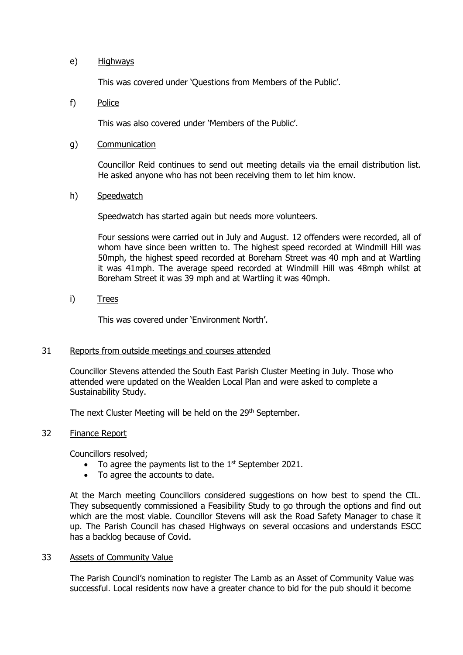#### e) Highways

This was covered under 'Questions from Members of the Public'.

#### f) Police

This was also covered under 'Members of the Public'.

#### g) Communication

Councillor Reid continues to send out meeting details via the email distribution list. He asked anyone who has not been receiving them to let him know.

#### h) Speedwatch

Speedwatch has started again but needs more volunteers.

Four sessions were carried out in July and August. 12 offenders were recorded, all of whom have since been written to. The highest speed recorded at Windmill Hill was 50mph, the highest speed recorded at Boreham Street was 40 mph and at Wartling it was 41mph. The average speed recorded at Windmill Hill was 48mph whilst at Boreham Street it was 39 mph and at Wartling it was 40mph.

i) Trees

This was covered under 'Environment North'.

#### 31 Reports from outside meetings and courses attended

Councillor Stevens attended the South East Parish Cluster Meeting in July. Those who attended were updated on the Wealden Local Plan and were asked to complete a Sustainability Study.

The next Cluster Meeting will be held on the 29<sup>th</sup> September.

#### 32 Finance Report

Councillors resolved;

- To agree the payments list to the  $1<sup>st</sup>$  September 2021.
- To agree the accounts to date.

At the March meeting Councillors considered suggestions on how best to spend the CIL. They subsequently commissioned a Feasibility Study to go through the options and find out which are the most viable. Councillor Stevens will ask the Road Safety Manager to chase it up. The Parish Council has chased Highways on several occasions and understands ESCC has a backlog because of Covid.

#### 33 Assets of Community Value

 The Parish Council's nomination to register The Lamb as an Asset of Community Value was successful. Local residents now have a greater chance to bid for the pub should it become